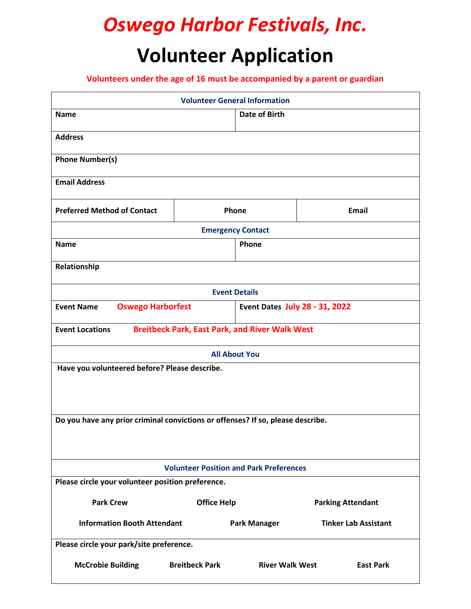## *Oswego Harbor Festivals, Inc.* **Volunteer Application**

**Volunteers under the age of 16 must be accompanied by a parent or guardian**

|                                                                                 |                       | <b>Volunteer General Information</b>  |                             |  |
|---------------------------------------------------------------------------------|-----------------------|---------------------------------------|-----------------------------|--|
| <b>Name</b>                                                                     |                       | <b>Date of Birth</b>                  |                             |  |
| <b>Address</b>                                                                  |                       |                                       |                             |  |
| <b>Phone Number(s)</b>                                                          |                       |                                       |                             |  |
| <b>Email Address</b>                                                            |                       |                                       |                             |  |
| <b>Preferred Method of Contact</b>                                              | Phone                 |                                       | <b>Email</b>                |  |
| <b>Emergency Contact</b>                                                        |                       |                                       |                             |  |
| <b>Name</b>                                                                     | Phone                 |                                       |                             |  |
| Relationship                                                                    |                       |                                       |                             |  |
| <b>Event Details</b>                                                            |                       |                                       |                             |  |
| <b>Event Name</b><br><b>Oswego Harborfest</b>                                   |                       | <b>Event Dates July 28 - 31, 2022</b> |                             |  |
| <b>Breitbeck Park, East Park, and River Walk West</b><br><b>Event Locations</b> |                       |                                       |                             |  |
|                                                                                 |                       |                                       |                             |  |
| <b>All About You</b>                                                            |                       |                                       |                             |  |
| Have you volunteered before? Please describe.                                   |                       |                                       |                             |  |
|                                                                                 |                       |                                       |                             |  |
|                                                                                 |                       |                                       |                             |  |
| Do you have any prior criminal convictions or offenses? If so, please describe. |                       |                                       |                             |  |
|                                                                                 |                       |                                       |                             |  |
|                                                                                 |                       |                                       |                             |  |
| <b>Volunteer Position and Park Preferences</b>                                  |                       |                                       |                             |  |
| Please circle your volunteer position preference.                               |                       |                                       |                             |  |
| <b>Park Crew</b>                                                                | <b>Office Help</b>    |                                       | <b>Parking Attendant</b>    |  |
| <b>Information Booth Attendant</b>                                              |                       | <b>Park Manager</b>                   | <b>Tinker Lab Assistant</b> |  |
| Please circle your park/site preference.                                        |                       |                                       |                             |  |
| <b>McCrobie Building</b>                                                        | <b>Breitbeck Park</b> | <b>River Walk West</b>                | <b>East Park</b>            |  |